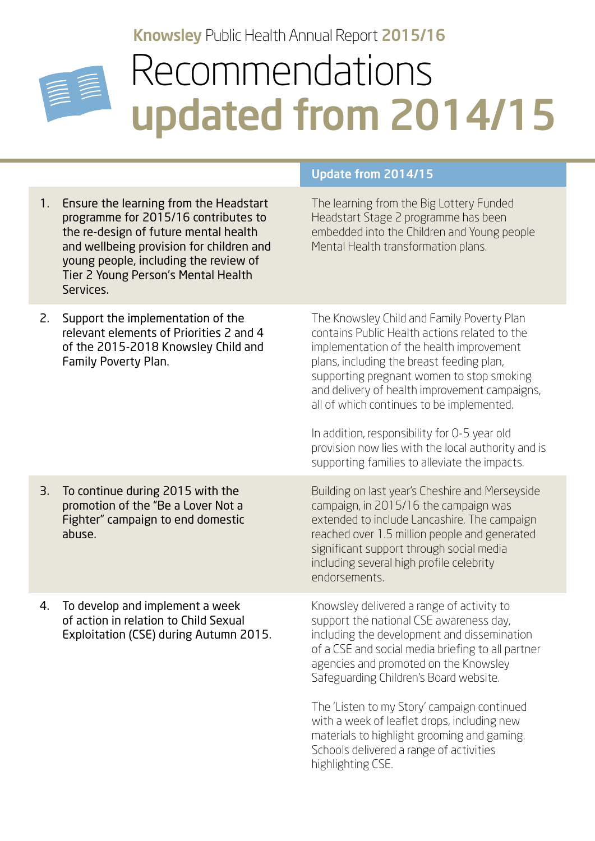## Knowsley Public Health Annual Report 2015/16

## Recommendations updated from 2014/15

| Update from 2014/15                                                                                                                                                                                                                                                                                                                                                                                                                                                                      |
|------------------------------------------------------------------------------------------------------------------------------------------------------------------------------------------------------------------------------------------------------------------------------------------------------------------------------------------------------------------------------------------------------------------------------------------------------------------------------------------|
| The learning from the Big Lottery Funded<br>Headstart Stage 2 programme has been<br>embedded into the Children and Young people<br>Mental Health transformation plans.                                                                                                                                                                                                                                                                                                                   |
| The Knowsley Child and Family Poverty Plan<br>contains Public Health actions related to the<br>implementation of the health improvement<br>plans, including the breast feeding plan,<br>supporting pregnant women to stop smoking<br>and delivery of health improvement campaigns,<br>all of which continues to be implemented.<br>In addition, responsibility for 0-5 year old<br>provision now lies with the local authority and is<br>supporting families to alleviate the impacts.   |
| Building on last year's Cheshire and Merseyside<br>campaign, in 2015/16 the campaign was<br>extended to include Lancashire. The campaign<br>reached over 1.5 million people and generated<br>significant support through social media<br>including several high profile celebrity<br>endorsements.                                                                                                                                                                                       |
| Knowsley delivered a range of activity to<br>support the national CSE awareness day,<br>including the development and dissemination<br>of a CSE and social media briefing to all partner<br>agencies and promoted on the Knowsley<br>Safeguarding Children's Board website.<br>The 'Listen to my Story' campaign continued<br>with a week of leaflet drops, including new<br>materials to highlight grooming and gaming.<br>Schools delivered a range of activities<br>highlighting CSE. |
|                                                                                                                                                                                                                                                                                                                                                                                                                                                                                          |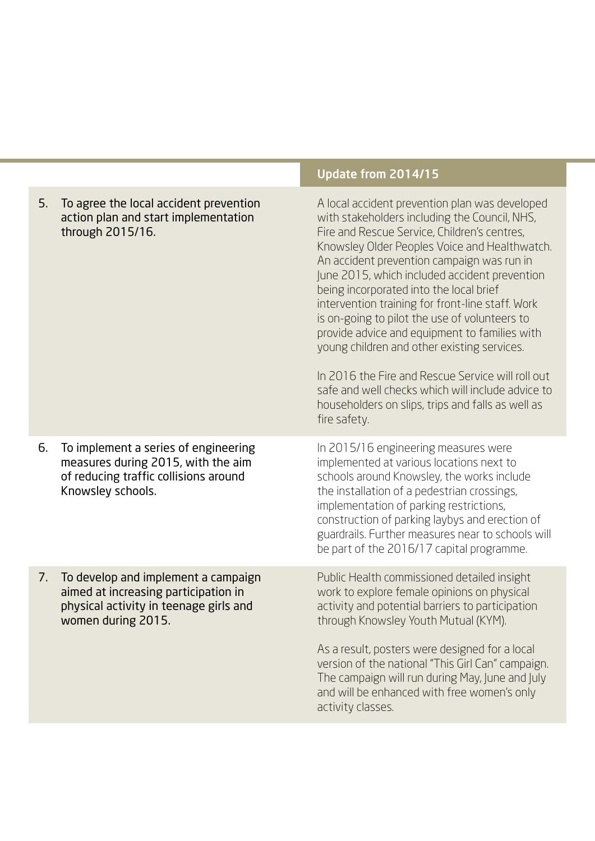|    |                                                                                                                                             | Update from 2014/15                                                                                                                                                                                                                                                                                                                                                                                                                                                                                                                                                                                                                                                                                                            |
|----|---------------------------------------------------------------------------------------------------------------------------------------------|--------------------------------------------------------------------------------------------------------------------------------------------------------------------------------------------------------------------------------------------------------------------------------------------------------------------------------------------------------------------------------------------------------------------------------------------------------------------------------------------------------------------------------------------------------------------------------------------------------------------------------------------------------------------------------------------------------------------------------|
| 5. | To agree the local accident prevention<br>action plan and start implementation<br>through 2015/16.                                          | A local accident prevention plan was developed<br>with stakeholders including the Council, NHS,<br>Fire and Rescue Service, Children's centres,<br>Knowsley Older Peoples Voice and Healthwatch.<br>An accident prevention campaign was run in<br>June 2015, which included accident prevention<br>being incorporated into the local brief<br>intervention training for front-line staff. Work<br>is on-going to pilot the use of volunteers to<br>provide advice and equipment to families with<br>young children and other existing services.<br>In 2016 the Fire and Rescue Service will roll out<br>safe and well checks which will include advice to<br>householders on slips, trips and falls as well as<br>fire safety. |
| 6. | To implement a series of engineering<br>measures during 2015, with the aim<br>of reducing traffic collisions around<br>Knowsley schools.    | In 2015/16 engineering measures were<br>implemented at various locations next to<br>schools around Knowsley, the works include<br>the installation of a pedestrian crossings,<br>implementation of parking restrictions,<br>construction of parking laybys and erection of<br>guardrails. Further measures near to schools will<br>be part of the 2016/17 capital programme.                                                                                                                                                                                                                                                                                                                                                   |
| 7. | To develop and implement a campaign<br>aimed at increasing participation in<br>physical activity in teenage girls and<br>women during 2015. | Public Health commissioned detailed insight<br>work to explore female opinions on physical<br>activity and potential barriers to participation<br>through Knowsley Youth Mutual (KYM).<br>As a result, posters were designed for a local<br>version of the national "This Girl Can" campaign.<br>The campaign will run during May, June and July<br>and will be enhanced with free women's only<br>activity classes.                                                                                                                                                                                                                                                                                                           |